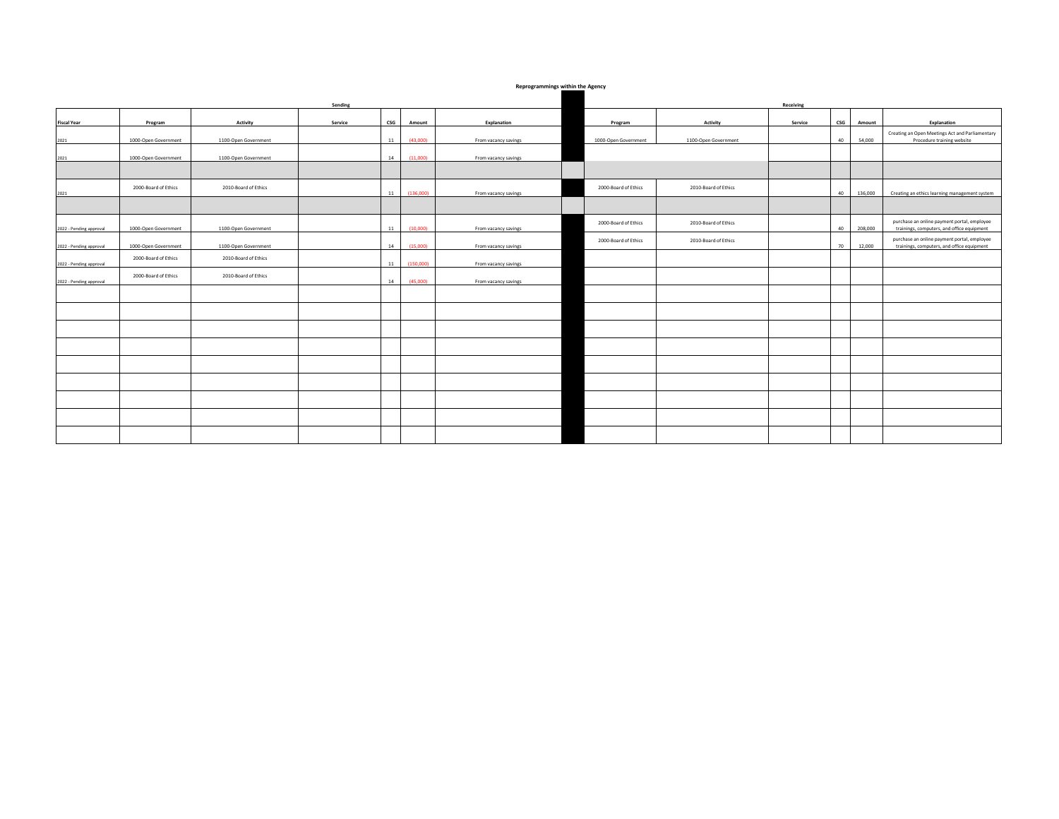## **Reprogrammings within the Agency**

|                         | Sending              |                      |         |                                            |           |                      |                      | Receiving            |         |     |         |                                                                               |  |  |  |
|-------------------------|----------------------|----------------------|---------|--------------------------------------------|-----------|----------------------|----------------------|----------------------|---------|-----|---------|-------------------------------------------------------------------------------|--|--|--|
|                         |                      |                      |         |                                            |           |                      |                      |                      |         |     |         |                                                                               |  |  |  |
| <b>Fiscal Year</b>      | Program              | Activity             | Service | $\mathsf{c}\mathsf{s}\mathsf{c}\mathsf{s}$ | Amount    | Explanation          | Program              | Activity             | Service | csc | Amount  | Explanation                                                                   |  |  |  |
|                         |                      |                      |         |                                            |           |                      |                      |                      |         |     |         |                                                                               |  |  |  |
| 2021                    | 1000-Open Government | 1100-Open Government |         | 11                                         | (43,000)  | From vacancy savings | 1000-Open Government | 1100-Open Government |         | 40  | 54,000  | Creating an Open Meetings Act and Parliamentary<br>Procedure training website |  |  |  |
|                         |                      |                      |         |                                            |           |                      |                      |                      |         |     |         |                                                                               |  |  |  |
|                         |                      |                      |         |                                            |           |                      |                      |                      |         |     |         |                                                                               |  |  |  |
| 2021                    | 1000-Open Government | 1100-Open Government |         | 14                                         | (11.000)  | From vacancy savings |                      |                      |         |     |         |                                                                               |  |  |  |
|                         |                      |                      |         |                                            |           |                      |                      |                      |         |     |         |                                                                               |  |  |  |
|                         |                      |                      |         |                                            |           |                      |                      |                      |         |     |         |                                                                               |  |  |  |
|                         | 2000-Board of Ethics | 2010-Board of Ethics |         |                                            |           |                      | 2000-Board of Ethics | 2010-Board of Ethics |         |     |         |                                                                               |  |  |  |
| 2021                    |                      |                      |         | 11                                         | (136,000) | From vacancy savings |                      |                      |         | 40  | 136,000 | Creating an ethics learning management system                                 |  |  |  |
|                         |                      |                      |         |                                            |           |                      |                      |                      |         |     |         |                                                                               |  |  |  |
|                         |                      |                      |         |                                            |           |                      |                      |                      |         |     |         |                                                                               |  |  |  |
|                         |                      |                      |         |                                            |           |                      |                      |                      |         |     |         | purchase an online payment portal, employee                                   |  |  |  |
| 2022 - Pending approval | 1000-Open Government | 1100-Open Government |         | 11                                         | (10,000)  | From vacancy savings | 2000-Board of Ethics | 2010-Board of Ethics |         | 40  | 208,000 | trainings, computers, and office equipment                                    |  |  |  |
|                         |                      |                      |         |                                            |           |                      |                      |                      |         |     |         |                                                                               |  |  |  |
|                         |                      |                      |         | 14                                         | (15.000)  |                      | 2000-Board of Ethics | 2010-Board of Ethics |         |     | 12,000  | purchase an online payment portal, employee                                   |  |  |  |
| 2022 - Pending approval | 1000-Open Government | 1100-Open Government |         |                                            |           | From vacancy savings |                      |                      |         | 70  |         | trainings, computers, and office equipment                                    |  |  |  |
|                         | 2000-Board of Ethics | 2010-Board of Ethics |         |                                            |           |                      |                      |                      |         |     |         |                                                                               |  |  |  |
| 2022 - Pending approval |                      |                      |         | 11                                         | (150,000) | From vacancy savings |                      |                      |         |     |         |                                                                               |  |  |  |
|                         | 2000-Board of Ethics | 2010-Board of Ethics |         |                                            |           |                      |                      |                      |         |     |         |                                                                               |  |  |  |
| 2022 - Pending approval |                      |                      |         | 14                                         | (45,000)  | From vacancy savings |                      |                      |         |     |         |                                                                               |  |  |  |
|                         |                      |                      |         |                                            |           |                      |                      |                      |         |     |         |                                                                               |  |  |  |
|                         |                      |                      |         |                                            |           |                      |                      |                      |         |     |         |                                                                               |  |  |  |
|                         |                      |                      |         |                                            |           |                      |                      |                      |         |     |         |                                                                               |  |  |  |
|                         |                      |                      |         |                                            |           |                      |                      |                      |         |     |         |                                                                               |  |  |  |
|                         |                      |                      |         |                                            |           |                      |                      |                      |         |     |         |                                                                               |  |  |  |
|                         |                      |                      |         |                                            |           |                      |                      |                      |         |     |         |                                                                               |  |  |  |
|                         |                      |                      |         |                                            |           |                      |                      |                      |         |     |         |                                                                               |  |  |  |
|                         |                      |                      |         |                                            |           |                      |                      |                      |         |     |         |                                                                               |  |  |  |
|                         |                      |                      |         |                                            |           |                      |                      |                      |         |     |         |                                                                               |  |  |  |
|                         |                      |                      |         |                                            |           |                      |                      |                      |         |     |         |                                                                               |  |  |  |
|                         |                      |                      |         |                                            |           |                      |                      |                      |         |     |         |                                                                               |  |  |  |
|                         |                      |                      |         |                                            |           |                      |                      |                      |         |     |         |                                                                               |  |  |  |
|                         |                      |                      |         |                                            |           |                      |                      |                      |         |     |         |                                                                               |  |  |  |
|                         |                      |                      |         |                                            |           |                      |                      |                      |         |     |         |                                                                               |  |  |  |
|                         |                      |                      |         |                                            |           |                      |                      |                      |         |     |         |                                                                               |  |  |  |
|                         |                      |                      |         |                                            |           |                      |                      |                      |         |     |         |                                                                               |  |  |  |
|                         |                      |                      |         |                                            |           |                      |                      |                      |         |     |         |                                                                               |  |  |  |
|                         |                      |                      |         |                                            |           |                      |                      |                      |         |     |         |                                                                               |  |  |  |
|                         |                      |                      |         |                                            |           |                      |                      |                      |         |     |         |                                                                               |  |  |  |
|                         |                      |                      |         |                                            |           |                      |                      |                      |         |     |         |                                                                               |  |  |  |